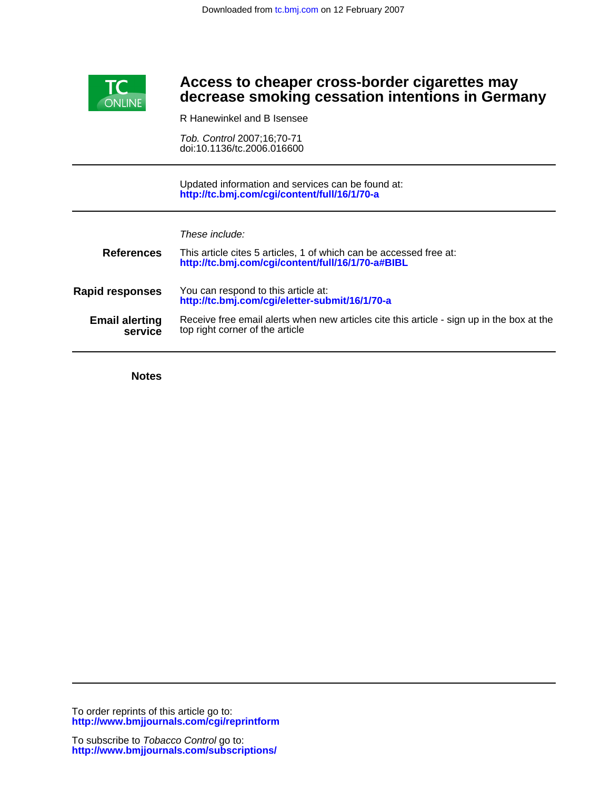

# **decrease smoking cessation intentions in Germany Access to cheaper cross-border cigarettes may**

R Hanewinkel and B Isensee

doi:10.1136/tc.2006.016600 Tob. Control 2007;16;70-71

**<http://tc.bmj.com/cgi/content/full/16/1/70-a>** Updated information and services can be found at:

| These include: |  |  |
|----------------|--|--|
|                |  |  |

| <b>References</b>                | This article cites 5 articles, 1 of which can be accessed free at:<br>http://tc.bmj.com/cgi/content/full/16/1/70-a#BIBL      |
|----------------------------------|------------------------------------------------------------------------------------------------------------------------------|
| <b>Rapid responses</b>           | You can respond to this article at:<br>http://tc.bmj.com/cgi/eletter-submit/16/1/70-a                                        |
| <b>Email alerting</b><br>service | Receive free email alerts when new articles cite this article - sign up in the box at the<br>top right corner of the article |

**Notes**

**<http://www.bmjjournals.com/cgi/reprintform>** To order reprints of this article go to: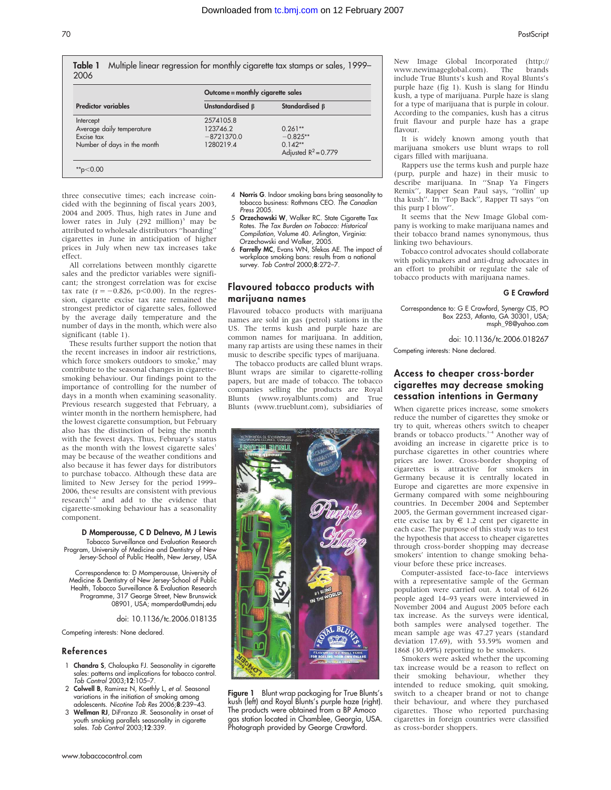Table 1 Multiple linear regression for monthly cigarette tax stamps or sales, 1999– 2006

|                             | Outcome = monthly cigarette sales |                        |  |
|-----------------------------|-----------------------------------|------------------------|--|
| Predictor variables         | Unstandardised $\beta$            | Standardised B         |  |
| Intercept                   | 2574105.8                         |                        |  |
| Average daily temperature   | 123746.2                          | $0.261**$              |  |
| Excise tax                  | $-8721370.0$                      | $-0.825**$             |  |
| Number of days in the month | 1280219.4                         | $0.142**$              |  |
|                             |                                   | Adjusted $R^2 = 0.779$ |  |

three consecutive times; each increase coincided with the beginning of fiscal years 2003, 2004 and 2005. Thus, high rates in June and lower rates in July  $(292 \text{ million})^5$  may be attributed to wholesale distributors ''hoarding'' cigarettes in June in anticipation of higher prices in July when new tax increases take effect.

All correlations between monthly cigarette sales and the predictor variables were significant; the strongest correlation was for excise tax rate ( $r = -0.826$ ,  $p < 0.00$ ). In the regression, cigarette excise tax rate remained the strongest predictor of cigarette sales, followed by the average daily temperature and the number of days in the month, which were also significant (table 1).

These results further support the notion that the recent increases in indoor air restrictions, which force smokers outdoors to smoke,<sup>6</sup> may contribute to the seasonal changes in cigarettesmoking behaviour. Our findings point to the importance of controlling for the number of days in a month when examining seasonality. Previous research suggested that February, a winter month in the northern hemisphere, had the lowest cigarette consumption, but February also has the distinction of being the month with the fewest days. Thus, February's status as the month with the lowest cigarette sales<sup>1</sup> may be because of the weather conditions and also because it has fewer days for distributors to purchase tobacco. Although these data are limited to New Jersey for the period 1999– 2006, these results are consistent with previous  $r$ esearch<sup>1-4</sup> and add to the evidence that cigarette-smoking behaviour has a seasonality component.

#### D Momperousse, C D Delnevo, M J Lewis

Tobacco Surveillance and Evaluation Research Program, University of Medicine and Dentistry of New Jersey-School of Public Health, New Jersey, USA

Correspondence to: D Momperousse, University of Medicine & Dentistry of New Jersey-School of Public Health, Tobacco Surveillance & Evaluation Research Programme, 317 George Street, New Brunswick 08901, USA; momperda@umdnj.edu

doi: 10.1136/tc.2006.018135

Competing interests: None declared.

#### References

- 1 Chandra S, Chaloupka FJ. Seasonality in cigarette sales: patterns and implications for tobacco control. Tob Control 2003;12:105–7.
- 2 Colwell B, Ramirez N, Koethly L, et al. Seasonal variations in the initiation of smoking among adolescents. Nicotine Tob Res 2006;8:239–43.
- 3 Wellman RJ, DiFranza JR. Seasonality in onset of youth smoking parallels seasonality in cigarette sales. Tob Control 2003;12:339.
- 4 Norris G. Indoor smoking bans bring seasonality to tobacco business: Rothmans CEO. The Canadian Press 2005.
- 5 Orzechowski W, Walker RC. State Cigarette Tax Rates. The Tax Burden on Tobacco: Historical Compilation, Volume 40. Arlington, Virginia: Orzechowski and Walker, 2005.
- 6 Farrelly MC, Evans WN, Sfekas AE. The impact of workplace smoking bans: results from a national survey. Tob Control 2000;8:272–7.

# Flavoured tobacco products with marijuana names

Flavoured tobacco products with marijuana names are sold in gas (petrol) stations in the US. The terms kush and purple haze are common names for marijuana. In addition, many rap artists are using these names in their music to describe specific types of marijuana.

The tobacco products are called blunt wraps. Blunt wraps are similar to cigarette-rolling papers, but are made of tobacco. The tobacco companies selling the products are Royal Blunts (www.royalblunts.com) and True Blunts (www.trueblunt.com), subsidiaries of



Figure 1 Blunt wrap packaging for True Blunts's kush (left) and Royal Blunts's purple haze (right). The products were obtained from a BP Amoco gas station located in Chamblee, Georgia, USA. Photograph provided by George Crawford.

New Image Global Incorporated (http:// www.newimageglobal.com). The brands include True Blunts's kush and Royal Blunts's purple haze (fig 1). Kush is slang for Hindu kush, a type of marijuana. Purple haze is slang for a type of marijuana that is purple in colour. According to the companies, kush has a citrus fruit flavour and purple haze has a grape flavour.

It is widely known among youth that marijuana smokers use blunt wraps to roll cigars filled with marijuana.

Rappers use the terms kush and purple haze (purp, purple and haze) in their music to describe marijuana. In ''Snap Ya Fingers Remix'', Rapper Sean Paul says, ''rollin' up tha kush''. In ''Top Back'', Rapper TI says ''on this purp I blow''.

It seems that the New Image Global company is working to make marijuana names and their tobacco brand names synonymous, thus linking two behaviours.

Tobacco control advocates should collaborate with policymakers and anti-drug advocates in an effort to prohibit or regulate the sale of tobacco products with marijuana names.

#### G E Crawford

Correspondence to: G E Crawford, Synergy CIS, PO Box 2253, Atlanta, GA 30301, USA; msph\_98@yahoo.com

doi: 10.1136/tc.2006.018267

Competing interests: None declared.

## Access to cheaper cross-border cigarettes may decrease smoking cessation intentions in Germany

When cigarette prices increase, some smokers reduce the number of cigarettes they smoke or try to quit, whereas others switch to cheaper brands or tobacco products.<sup>1–4</sup> Another way of avoiding an increase in cigarette price is to purchase cigarettes in other countries where prices are lower. Cross-border shopping of cigarettes is attractive for smokers in Germany because it is centrally located in Europe and cigarettes are more expensive in Germany compared with some neighbouring countries. In December 2004 and September 2005, the German government increased cigarette excise tax by  $\in$  1.2 cent per cigarette in each case. The purpose of this study was to test the hypothesis that access to cheaper cigarettes through cross-border shopping may decrease smokers' intention to change smoking behaviour before these price increases.

Computer-assisted face-to-face interviews with a representative sample of the German population were carried out. A total of 6126 people aged 14–93 years were interviewed in November 2004 and August 2005 before each tax increase. As the surveys were identical, both samples were analysed together. The mean sample age was 47.27 years (standard deviation 17.69), with 53.59% women and 1868 (30.49%) reporting to be smokers.

Smokers were asked whether the upcoming tax increase would be a reason to reflect on their smoking behaviour, whether they intended to reduce smoking, quit smoking, switch to a cheaper brand or not to change their behaviour, and where they purchased cigarettes. Those who reported purchasing cigarettes in foreign countries were classified as cross-border shoppers.